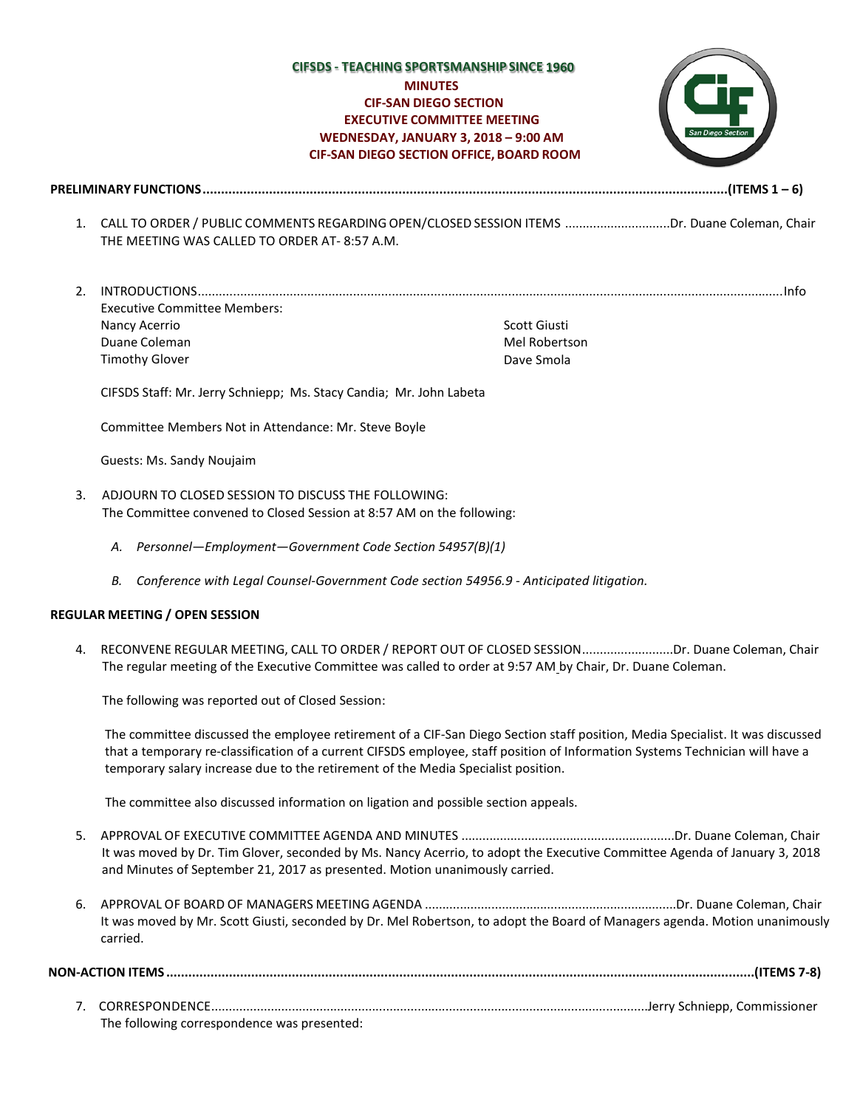## **CIFSDS - TEACHING SPORTSMANSHIP SINCE** *MINUTES* **MINUTES CIF-SAN DIEGO SECTION EXECUTIVE COMMITTEE MEETING WEDNESDAY, JANUARY 3, 2018 – 9:00 AM CIF-SAN DIEGO SECTION OFFICE, BOARD ROOM**



**PRELIMINARY FUNCTIONS..............................................................................................................................................(ITEMS 1 – 6)**

- 1. CALL TO ORDER / PUBLIC COMMENTS REGARDINGOPEN/CLOSED SESSION ITEMS ..............................Dr. Duane Coleman, Chair THE MEETING WAS CALLED TO ORDER AT- 8:57 A.M.
- 2. INTRODUCTIONS......................................................................................................................................................................Info Executive Committee Members: Nancy Acerrio Duane Coleman Timothy Glover Scott Giusti Mel Robertson Dave Smola

CIFSDS Staff: Mr. Jerry Schniepp; Ms. Stacy Candia; Mr. John Labeta

Committee Members Not in Attendance: Mr. Steve Boyle

Guests: Ms. Sandy Noujaim

- 3. ADJOURN TO CLOSED SESSION TO DISCUSS THE FOLLOWING: The Committee convened to Closed Session at 8:57 AM on the following:
	- *A. Personnel—Employment—Government Code Section 54957(B)(1)*
	- *B. Conference with Legal Counsel-Government Code section 54956.9 - Anticipated litigation.*

#### **REGULAR MEETING / OPEN SESSION**

4. RECONVENE REGULAR MEETING, CALL TO ORDER / REPORT OUT OF CLOSED SESSION..........................Dr. Duane Coleman, Chair The regular meeting of the Executive Committee was called to order at 9:57 AM by Chair, Dr. Duane Coleman.

The following was reported out of Closed Session:

The committee discussed the employee retirement of a CIF-San Diego Section staff position, Media Specialist. It was discussed that a temporary re-classification of a current CIFSDS employee, staff position of Information Systems Technician will have a temporary salary increase due to the retirement of the Media Specialist position.

The committee also discussed information on ligation and possible section appeals.

- 5. APPROVAL OF EXECUTIVE COMMITTEE AGENDA AND MINUTES .............................................................Dr. Duane Coleman, Chair It was moved by Dr. Tim Glover, seconded by Ms. Nancy Acerrio, to adopt the Executive Committee Agenda of January 3, 2018 and Minutes of September 21, 2017 as presented. Motion unanimously carried.
- 6. APPROVAL OF BOARD OF MANAGERS MEETING AGENDA ........................................................................Dr. Duane Coleman, Chair It was moved by Mr. Scott Giusti, seconded by Dr. Mel Robertson, to adopt the Board of Managers agenda. Motion unanimously carried.

**NON-ACTION ITEMS ...............................................................................................................................................................(ITEMS 7-8)**

7. CORRESPONDENCE.............................................................................................................................Jerry Schniepp, Commissioner The following correspondence was presented: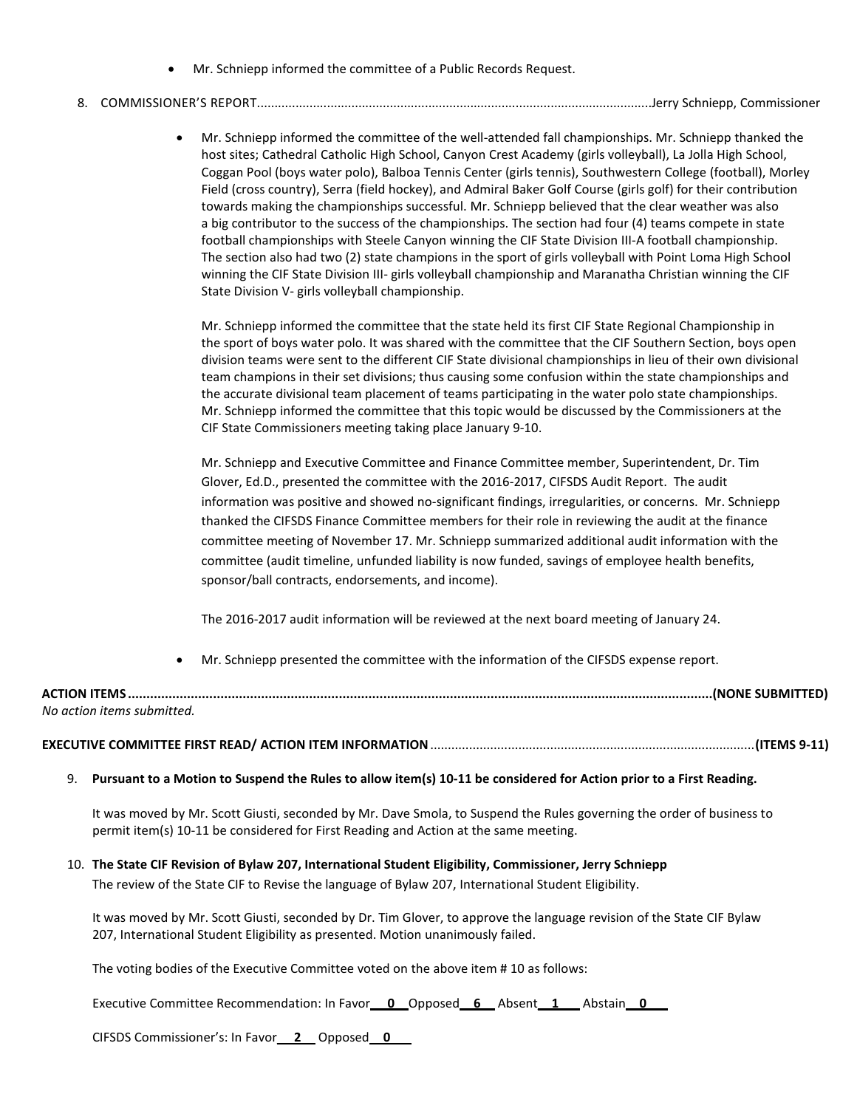• Mr. Schniepp informed the committee of a Public Records Request.

# 8. COMMISSIONER'S REPORT.................................................................................................................Jerry Schniepp, Commissioner

• Mr. Schniepp informed the committee of the well-attended fall championships. Mr. Schniepp thanked the host sites; Cathedral Catholic High School, Canyon Crest Academy (girls volleyball), La Jolla High School, Coggan Pool (boys water polo), Balboa Tennis Center (girls tennis), Southwestern College (football), Morley Field (cross country), Serra (field hockey), and Admiral Baker Golf Course (girls golf) for their contribution towards making the championships successful. Mr. Schniepp believed that the clear weather was also a big contributor to the success of the championships. The section had four (4) teams compete in state football championships with Steele Canyon winning the CIF State Division III-A football championship. The section also had two (2) state champions in the sport of girls volleyball with Point Loma High School winning the CIF State Division III- girls volleyball championship and Maranatha Christian winning the CIF State Division V- girls volleyball championship.

Mr. Schniepp informed the committee that the state held its first CIF State Regional Championship in the sport of boys water polo. It was shared with the committee that the CIF Southern Section, boys open division teams were sent to the different CIF State divisional championships in lieu of their own divisional team champions in their set divisions; thus causing some confusion within the state championships and the accurate divisional team placement of teams participating in the water polo state championships. Mr. Schniepp informed the committee that this topic would be discussed by the Commissioners at the CIF State Commissioners meeting taking place January 9-10.

Mr. Schniepp and Executive Committee and Finance Committee member, Superintendent, Dr. Tim Glover, Ed.D., presented the committee with the 2016-2017, CIFSDS Audit Report. The audit information was positive and showed no-significant findings, irregularities, or concerns. Mr. Schniepp thanked the CIFSDS Finance Committee members for their role in reviewing the audit at the finance committee meeting of November 17. Mr. Schniepp summarized additional audit information with the committee (audit timeline, unfunded liability is now funded, savings of employee health benefits, sponsor/ball contracts, endorsements, and income).

The 2016-2017 audit information will be reviewed at the next board meeting of January 24.

• Mr. Schniepp presented the committee with the information of the CIFSDS expense report.

| <b>ACTIC</b><br>'NNL<br>TEM' | . NC<br>.JNŀ |
|------------------------------|--------------|
| No action items s            |              |

## **EXECUTIVE COMMITTEE FIRST READ/ ACTION ITEM INFORMATION**............................................................................................**(ITEMS 9-11)**

#### 9. **Pursuant to a Motion to Suspend the Rules to allow item(s) 10-11 be considered for Action prior to a First Reading.**

It was moved by Mr. Scott Giusti, seconded by Mr. Dave Smola, to Suspend the Rules governing the order of business to permit item(s) 10-11 be considered for First Reading and Action at the same meeting.

#### 10. **The State CIF Revision of Bylaw 207, International Student Eligibility, Commissioner, Jerry Schniepp**

The review of the State CIF to Revise the language of Bylaw 207, International Student Eligibility.

It was moved by Mr. Scott Giusti, seconded by Dr. Tim Glover, to approve the language revision of the State CIF Bylaw 207, International Student Eligibility as presented. Motion unanimously failed.

The voting bodies of the Executive Committee voted on the above item # 10 as follows:

Executive Committee Recommendation: In Favor\_\_0\_\_Opposed\_\_6\_\_\_ Absent\_\_1\_\_\_\_ Abstain\_\_0\_\_\_\_\_\_\_\_\_\_\_\_\_

CIFSDS Commissioner's: In Favor\_\_ **2**\_\_ Opposed\_\_**0**\_\_\_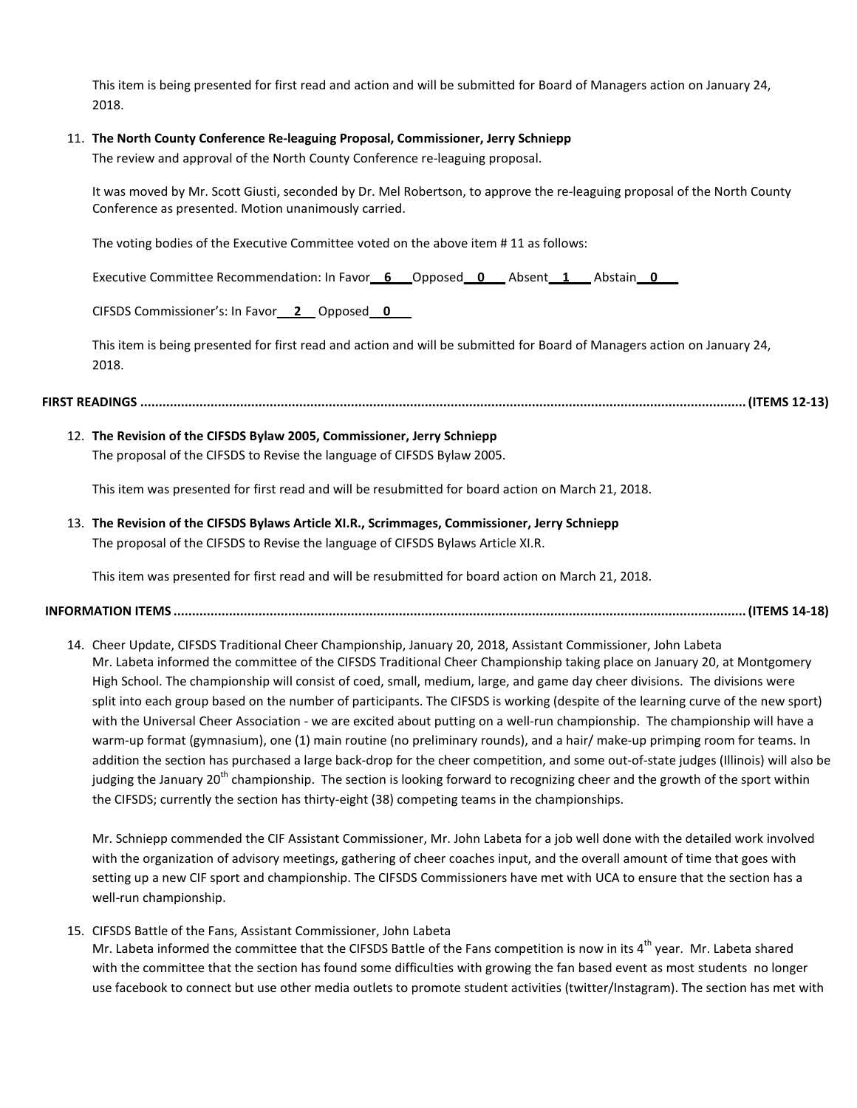This item is being presented for first read and action and will be submitted for Board of Managers action on January 24, 2018.

### 11. **The North County Conference Re-leaguing Proposal, Commissioner, Jerry Schniepp**

The review and approval of the North County Conference re-leaguing proposal.

It was moved by Mr. Scott Giusti, seconded by Dr. Mel Robertson, to approve the re-leaguing proposal of the North County Conference as presented. Motion unanimously carried.

The voting bodies of the Executive Committee voted on the above item # 11 as follows:

Executive Committee Recommendation: In Favor**\_\_6\_\_\_**Opposed\_\_**0\_\_\_** Absent**\_\_1\_\_\_** Abstain**\_\_0\_\_\_**

CIFSDS Commissioner's: In Favor\_\_ **2**\_\_ Opposed\_\_**0**\_\_\_

This item is being presented for first read and action and will be submitted for Board of Managers action on January 24, 2018.

#### **FIRST READINGS ....................................................................................................................................................................(ITEMS 12-13)**

# 12. **The Revision of the CIFSDS Bylaw 2005, Commissioner, Jerry Schniepp**

The proposal of the CIFSDS to Revise the language of CIFSDS Bylaw 2005.

This item was presented for first read and will be resubmitted for board action on March 21, 2018.

13. **The Revision of the CIFSDS Bylaws Article XI.R., Scrimmages, Commissioner, Jerry Schniepp** The proposal of the CIFSDS to Revise the language of CIFSDS Bylaws Article XI.R.

This item was presented for first read and will be resubmitted for board action on March 21, 2018.

### **INFORMATION ITEMS ...........................................................................................................................................................(ITEMS 14-18)**

14. Cheer Update, CIFSDS Traditional Cheer Championship, January 20, 2018, Assistant Commissioner, John Labeta Mr. Labeta informed the committee of the CIFSDS Traditional Cheer Championship taking place on January 20, at Montgomery High School. The championship will consist of coed, small, medium, large, and game day cheer divisions. The divisions were split into each group based on the number of participants. The CIFSDS is working (despite of the learning curve of the new sport) with the Universal Cheer Association - we are excited about putting on a well-run championship. The championship will have a warm-up format (gymnasium), one (1) main routine (no preliminary rounds), and a hair/ make-up primping room for teams. In addition the section has purchased a large back-drop for the cheer competition, and some out-of-state judges (Illinois) will also be judging the January 20<sup>th</sup> championship. The section is looking forward to recognizing cheer and the growth of the sport within the CIFSDS; currently the section has thirty-eight (38) competing teams in the championships.

Mr. Schniepp commended the CIF Assistant Commissioner, Mr. John Labeta for a job well done with the detailed work involved with the organization of advisory meetings, gathering of cheer coaches input, and the overall amount of time that goes with setting up a new CIF sport and championship. The CIFSDS Commissioners have met with UCA to ensure that the section has a well-run championship.

## 15. CIFSDS Battle of the Fans, Assistant Commissioner, John Labeta

Mr. Labeta informed the committee that the CIFSDS Battle of the Fans competition is now in its 4<sup>th</sup> year. Mr. Labeta shared with the committee that the section has found some difficulties with growing the fan based event as most students no longer use facebook to connect but use other media outlets to promote student activities (twitter/Instagram). The section has met with